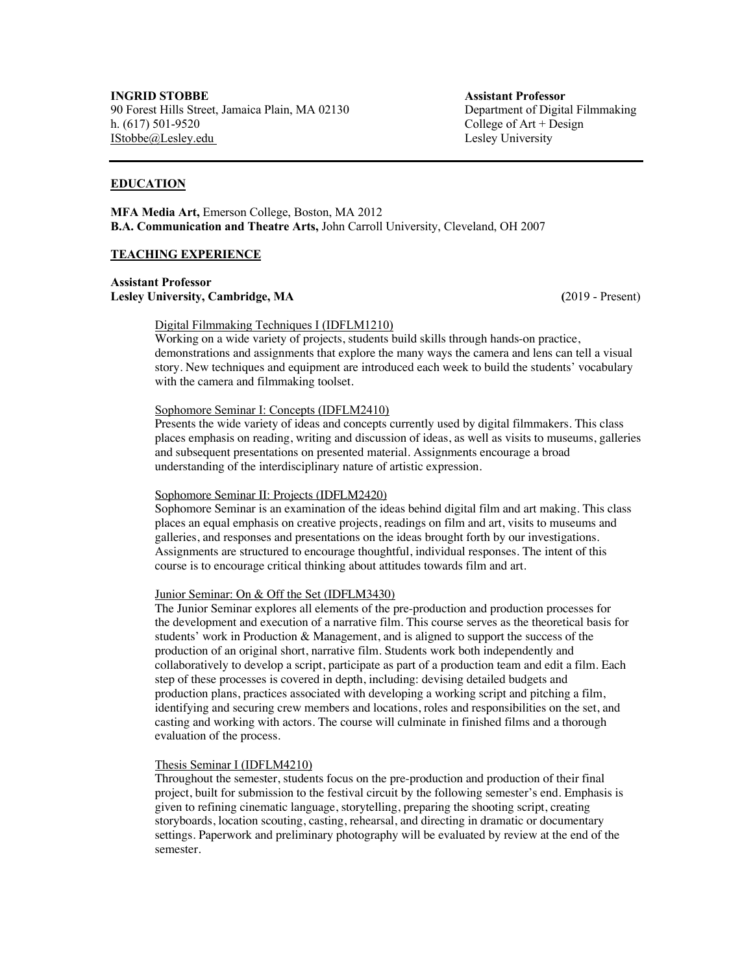# **EDUCATION**

**MFA Media Art,** Emerson College, Boston, MA 2012 **B.A. Communication and Theatre Arts,** John Carroll University, Cleveland, OH 2007

### **TEACHING EXPERIENCE**

**Assistant Professor Lesley University, Cambridge, MA (**2019 - Present)

# Digital Filmmaking Techniques I (IDFLM1210)

Working on a wide variety of projects, students build skills through hands-on practice, demonstrations and assignments that explore the many ways the camera and lens can tell a visual story. New techniques and equipment are introduced each week to build the students' vocabulary with the camera and filmmaking toolset.

### Sophomore Seminar I: Concepts (IDFLM2410)

Presents the wide variety of ideas and concepts currently used by digital filmmakers. This class places emphasis on reading, writing and discussion of ideas, as well as visits to museums, galleries and subsequent presentations on presented material. Assignments encourage a broad understanding of the interdisciplinary nature of artistic expression.

#### Sophomore Seminar II: Projects (IDFLM2420)

Sophomore Seminar is an examination of the ideas behind digital film and art making. This class places an equal emphasis on creative projects, readings on film and art, visits to museums and galleries, and responses and presentations on the ideas brought forth by our investigations. Assignments are structured to encourage thoughtful, individual responses. The intent of this course is to encourage critical thinking about attitudes towards film and art.

### Junior Seminar: On & Off the Set (IDFLM3430)

The Junior Seminar explores all elements of the pre-production and production processes for the development and execution of a narrative film. This course serves as the theoretical basis for students' work in Production & Management, and is aligned to support the success of the production of an original short, narrative film. Students work both independently and collaboratively to develop a script, participate as part of a production team and edit a film. Each step of these processes is covered in depth, including: devising detailed budgets and production plans, practices associated with developing a working script and pitching a film, identifying and securing crew members and locations, roles and responsibilities on the set, and casting and working with actors. The course will culminate in finished films and a thorough evaluation of the process.

#### Thesis Seminar I (IDFLM4210)

Throughout the semester, students focus on the pre-production and production of their final project, built for submission to the festival circuit by the following semester's end. Emphasis is given to refining cinematic language, storytelling, preparing the shooting script, creating storyboards, location scouting, casting, rehearsal, and directing in dramatic or documentary settings. Paperwork and preliminary photography will be evaluated by review at the end of the semester.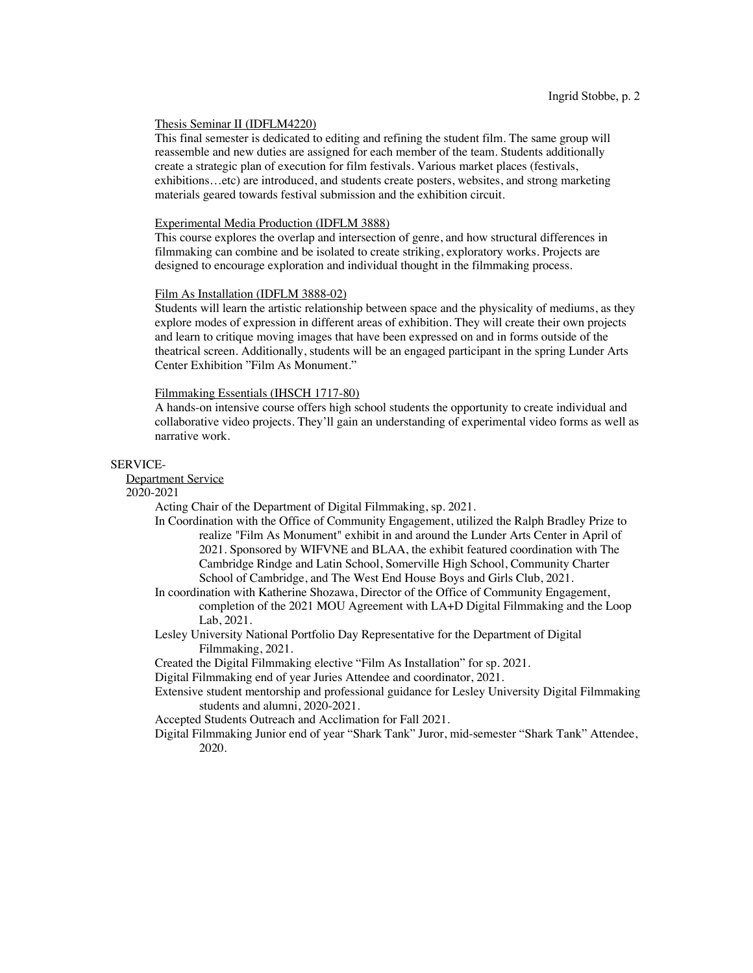#### Thesis Seminar II (IDFLM4220)

This final semester is dedicated to editing and refining the student film. The same group will reassemble and new duties are assigned for each member of the team. Students additionally create a strategic plan of execution for film festivals. Various market places (festivals, exhibitions…etc) are introduced, and students create posters, websites, and strong marketing materials geared towards festival submission and the exhibition circuit.

## Experimental Media Production (IDFLM 3888)

This course explores the overlap and intersection of genre, and how structural differences in filmmaking can combine and be isolated to create striking, exploratory works. Projects are designed to encourage exploration and individual thought in the filmmaking process.

#### Film As Installation (IDFLM 3888-02)

Students will learn the artistic relationship between space and the physicality of mediums, as they explore modes of expression in different areas of exhibition. They will create their own projects and learn to critique moving images that have been expressed on and in forms outside of the theatrical screen. Additionally, students will be an engaged participant in the spring Lunder Arts Center Exhibition "Film As Monument."

### Filmmaking Essentials (IHSCH 1717-80)

A hands-on intensive course offers high school students the opportunity to create individual and collaborative video projects. They'll gain an understanding of experimental video forms as well as narrative work.

#### SERVICE-

Department Service

2020-2021

Acting Chair of the Department of Digital Filmmaking, sp. 2021.

In Coordination with the Office of Community Engagement, utilized the Ralph Bradley Prize to realize "Film As Monument" exhibit in and around the Lunder Arts Center in April of 2021. Sponsored by WIFVNE and BLAA, the exhibit featured coordination with The Cambridge Rindge and Latin School, Somerville High School, Community Charter School of Cambridge, and The West End House Boys and Girls Club, 2021.

In coordination with Katherine Shozawa, Director of the Office of Community Engagement, completion of the 2021 MOU Agreement with LA+D Digital Filmmaking and the Loop Lab, 2021.

- Lesley University National Portfolio Day Representative for the Department of Digital Filmmaking, 2021.
- Created the Digital Filmmaking elective "Film As Installation" for sp. 2021.

Digital Filmmaking end of year Juries Attendee and coordinator, 2021.

- Extensive student mentorship and professional guidance for Lesley University Digital Filmmaking students and alumni, 2020-2021.
- Accepted Students Outreach and Acclimation for Fall 2021.
- Digital Filmmaking Junior end of year "Shark Tank" Juror, mid-semester "Shark Tank" Attendee, 2020.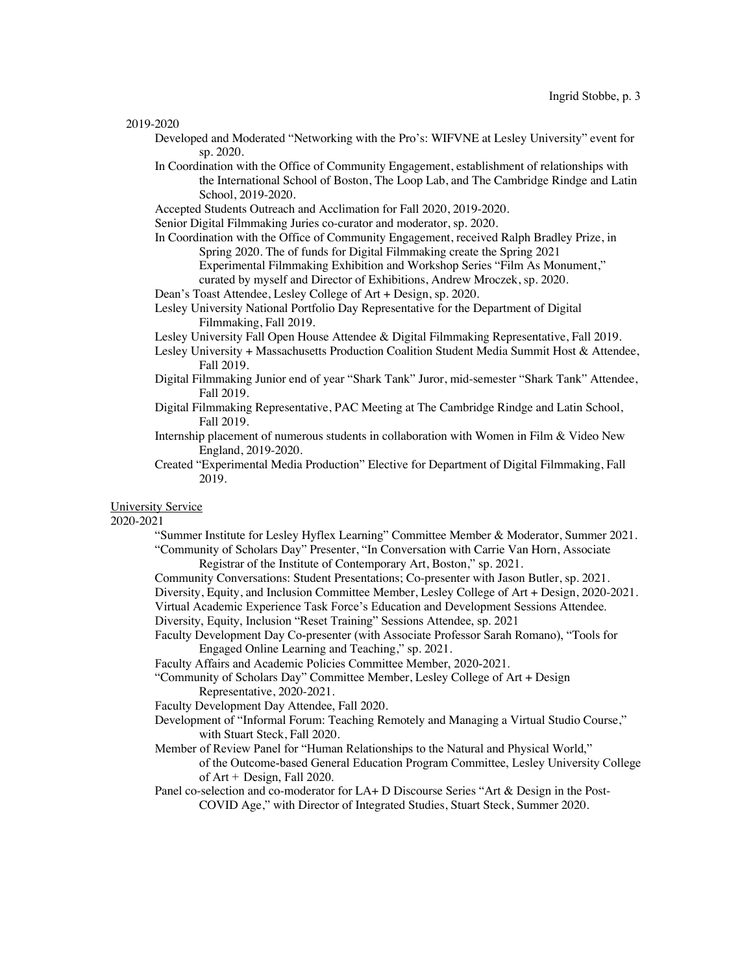2019-2020

- Developed and Moderated "Networking with the Pro's: WIFVNE at Lesley University" event for sp. 2020.
- In Coordination with the Office of Community Engagement, establishment of relationships with the International School of Boston, The Loop Lab, and The Cambridge Rindge and Latin School, 2019-2020.
- Accepted Students Outreach and Acclimation for Fall 2020, 2019-2020.
- Senior Digital Filmmaking Juries co-curator and moderator, sp. 2020.
- In Coordination with the Office of Community Engagement, received Ralph Bradley Prize, in Spring 2020. The of funds for Digital Filmmaking create the Spring 2021 Experimental Filmmaking Exhibition and Workshop Series "Film As Monument,"
	- curated by myself and Director of Exhibitions, Andrew Mroczek, sp. 2020.
- Dean's Toast Attendee, Lesley College of Art + Design, sp. 2020.
- Lesley University National Portfolio Day Representative for the Department of Digital Filmmaking, Fall 2019.
- Lesley University Fall Open House Attendee & Digital Filmmaking Representative, Fall 2019.
- Lesley University + Massachusetts Production Coalition Student Media Summit Host & Attendee, Fall 2019.
- Digital Filmmaking Junior end of year "Shark Tank" Juror, mid-semester "Shark Tank" Attendee, Fall 2019.
- Digital Filmmaking Representative, PAC Meeting at The Cambridge Rindge and Latin School, Fall 2019.
- Internship placement of numerous students in collaboration with Women in Film & Video New England, 2019-2020.
- Created "Experimental Media Production" Elective for Department of Digital Filmmaking, Fall 2019.

University Service

2020-2021

"Summer Institute for Lesley Hyflex Learning" Committee Member & Moderator, Summer 2021. "Community of Scholars Day" Presenter, "In Conversation with Carrie Van Horn, Associate

Registrar of the Institute of Contemporary Art, Boston," sp. 2021.

- Community Conversations: Student Presentations; Co-presenter with Jason Butler, sp. 2021.
- Diversity, Equity, and Inclusion Committee Member, Lesley College of Art + Design, 2020-2021.
- Virtual Academic Experience Task Force's Education and Development Sessions Attendee.

Diversity, Equity, Inclusion "Reset Training" Sessions Attendee, sp. 2021

- Faculty Development Day Co-presenter (with Associate Professor Sarah Romano), "Tools for Engaged Online Learning and Teaching," sp. 2021.
- Faculty Affairs and Academic Policies Committee Member, 2020-2021.
- "Community of Scholars Day" Committee Member, Lesley College of Art + Design Representative, 2020-2021.
- Faculty Development Day Attendee, Fall 2020.
- Development of "Informal Forum: Teaching Remotely and Managing a Virtual Studio Course," with Stuart Steck, Fall 2020.
- Member of Review Panel for "Human Relationships to the Natural and Physical World," of the Outcome-based General Education Program Committee, Lesley University College of Art + Design, Fall 2020.
- Panel co-selection and co-moderator for LA+ D Discourse Series "Art & Design in the Post-COVID Age," with Director of Integrated Studies, Stuart Steck, Summer 2020.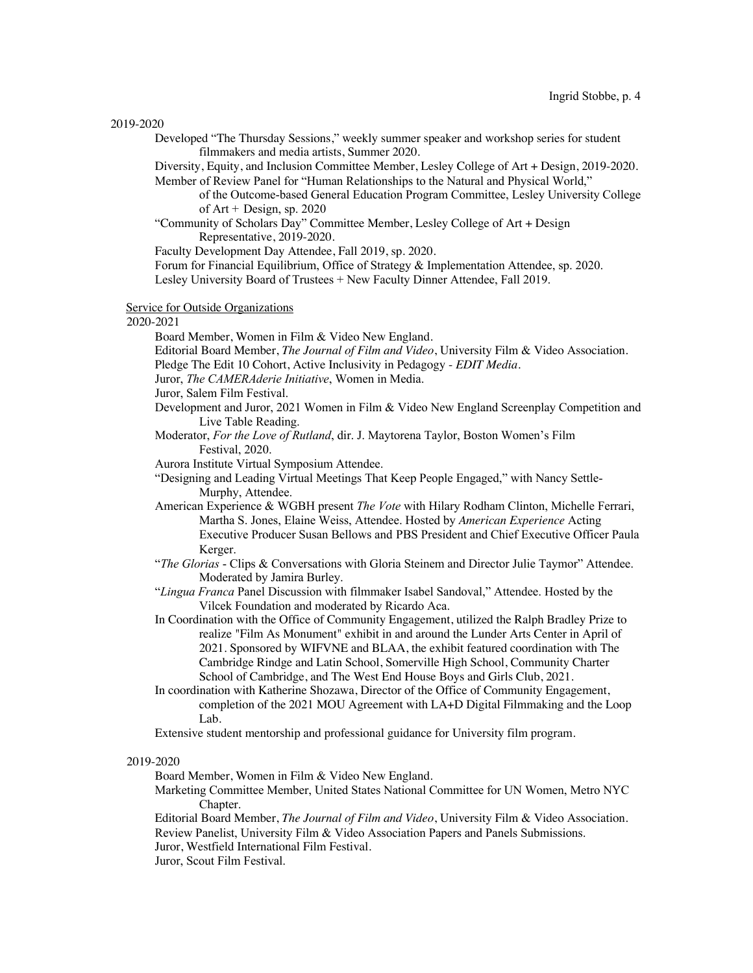Developed "The Thursday Sessions," weekly summer speaker and workshop series for student filmmakers and media artists, Summer 2020.

Diversity, Equity, and Inclusion Committee Member, Lesley College of Art + Design, 2019-2020. Member of Review Panel for "Human Relationships to the Natural and Physical World,"

of the Outcome-based General Education Program Committee, Lesley University College of  $Art + Design$ , sp. 2020

"Community of Scholars Day" Committee Member, Lesley College of Art + Design Representative, 2019-2020.

Faculty Development Day Attendee, Fall 2019, sp. 2020.

Forum for Financial Equilibrium, Office of Strategy & Implementation Attendee, sp. 2020. Lesley University Board of Trustees + New Faculty Dinner Attendee, Fall 2019.

Service for Outside Organizations

2020-2021

Board Member, Women in Film & Video New England.

Editorial Board Member, *The Journal of Film and Video*, University Film & Video Association.

Pledge The Edit 10 Cohort, Active Inclusivity in Pedagogy - *EDIT Media.*

Juror, *The CAMERAderie Initiative*, Women in Media.

Juror, Salem Film Festival.

Development and Juror, 2021 Women in Film & Video New England Screenplay Competition and Live Table Reading.

Moderator, *For the Love of Rutland*, dir. J. Maytorena Taylor, Boston Women's Film Festival, 2020.

Aurora Institute Virtual Symposium Attendee.

- "Designing and Leading Virtual Meetings That Keep People Engaged," with Nancy Settle-Murphy, Attendee.
- American Experience & WGBH present *The Vote* with Hilary Rodham Clinton, Michelle Ferrari, Martha S. Jones, Elaine Weiss, Attendee. Hosted by *American Experience* Acting Executive Producer Susan Bellows and PBS President and Chief Executive Officer Paula Kerger.
- "*The Glorias* Clips & Conversations with Gloria Steinem and Director Julie Taymor" Attendee. Moderated by Jamira Burley.
- "*Lingua Franca* Panel Discussion with filmmaker Isabel Sandoval," Attendee. Hosted by the Vilcek Foundation and moderated by Ricardo Aca.
- In Coordination with the Office of Community Engagement, utilized the Ralph Bradley Prize to realize "Film As Monument" exhibit in and around the Lunder Arts Center in April of 2021. Sponsored by WIFVNE and BLAA, the exhibit featured coordination with The Cambridge Rindge and Latin School, Somerville High School, Community Charter School of Cambridge, and The West End House Boys and Girls Club, 2021.
- In coordination with Katherine Shozawa, Director of the Office of Community Engagement, completion of the 2021 MOU Agreement with LA+D Digital Filmmaking and the Loop Lab.

Extensive student mentorship and professional guidance for University film program.

#### 2019-2020

Board Member, Women in Film & Video New England.

Marketing Committee Member, United States National Committee for UN Women, Metro NYC Chapter.

Editorial Board Member, *The Journal of Film and Video*, University Film & Video Association. Review Panelist, University Film & Video Association Papers and Panels Submissions. Juror, Westfield International Film Festival.

Juror, Scout Film Festival.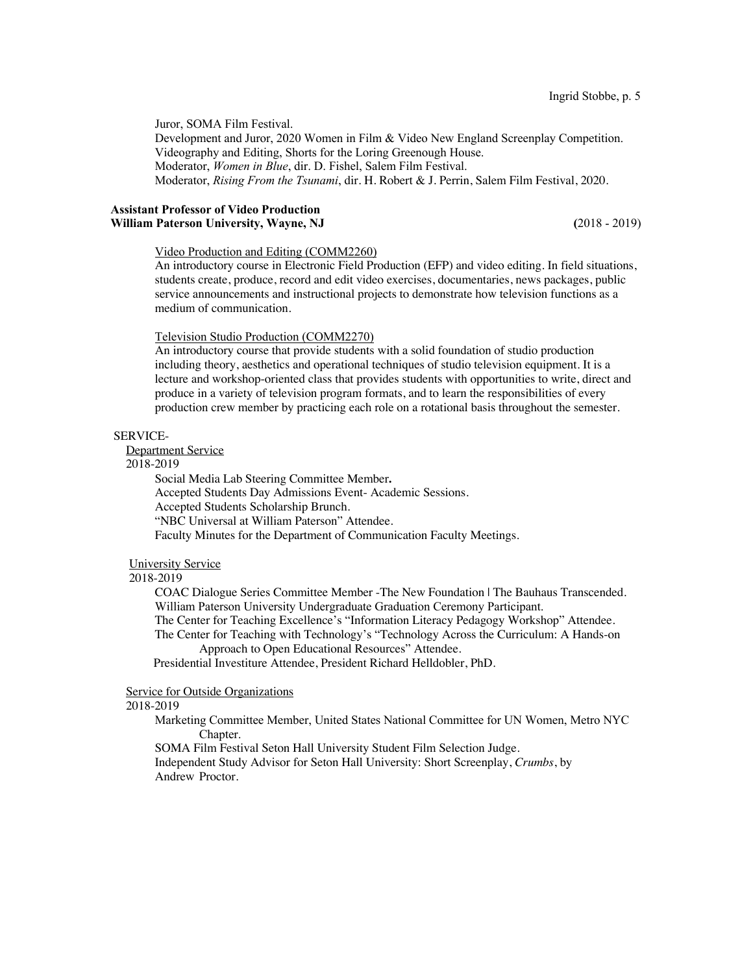Juror, SOMA Film Festival.

Development and Juror, 2020 Women in Film & Video New England Screenplay Competition. Videography and Editing, Shorts for the Loring Greenough House. Moderator, *Women in Blue*, dir. D. Fishel, Salem Film Festival. Moderator, *Rising From the Tsunami*, dir. H. Robert & J. Perrin, Salem Film Festival, 2020.

### **Assistant Professor of Video Production William Paterson University, Wayne, NJ (**2018 - 2019)

# Video Production and Editing (COMM2260)

An introductory course in Electronic Field Production (EFP) and video editing. In field situations, students create, produce, record and edit video exercises, documentaries, news packages, public service announcements and instructional projects to demonstrate how television functions as a medium of communication.

# Television Studio Production (COMM2270)

An introductory course that provide students with a solid foundation of studio production including theory, aesthetics and operational techniques of studio television equipment. It is a lecture and workshop-oriented class that provides students with opportunities to write, direct and produce in a variety of television program formats, and to learn the responsibilities of every production crew member by practicing each role on a rotational basis throughout the semester.

#### SERVICE-

Department Service

2018-2019

Social Media Lab Steering Committee Member**.** Accepted Students Day Admissions Event- Academic Sessions. Accepted Students Scholarship Brunch. "NBC Universal at William Paterson" Attendee. Faculty Minutes for the Department of Communication Faculty Meetings.

#### University Service

### 2018-2019

COAC Dialogue Series Committee Member -The New Foundation | The Bauhaus Transcended. William Paterson University Undergraduate Graduation Ceremony Participant.

The Center for Teaching Excellence's "Information Literacy Pedagogy Workshop" Attendee.

The Center for Teaching with Technology's "Technology Across the Curriculum: A Hands-on Approach to Open Educational Resources" Attendee.

Presidential Investiture Attendee, President Richard Helldobler, PhD.

# Service for Outside Organizations

# 2018-2019

Marketing Committee Member, United States National Committee for UN Women, Metro NYC Chapter.

SOMA Film Festival Seton Hall University Student Film Selection Judge.

Independent Study Advisor for Seton Hall University: Short Screenplay, *Crumbs*, by Andrew Proctor.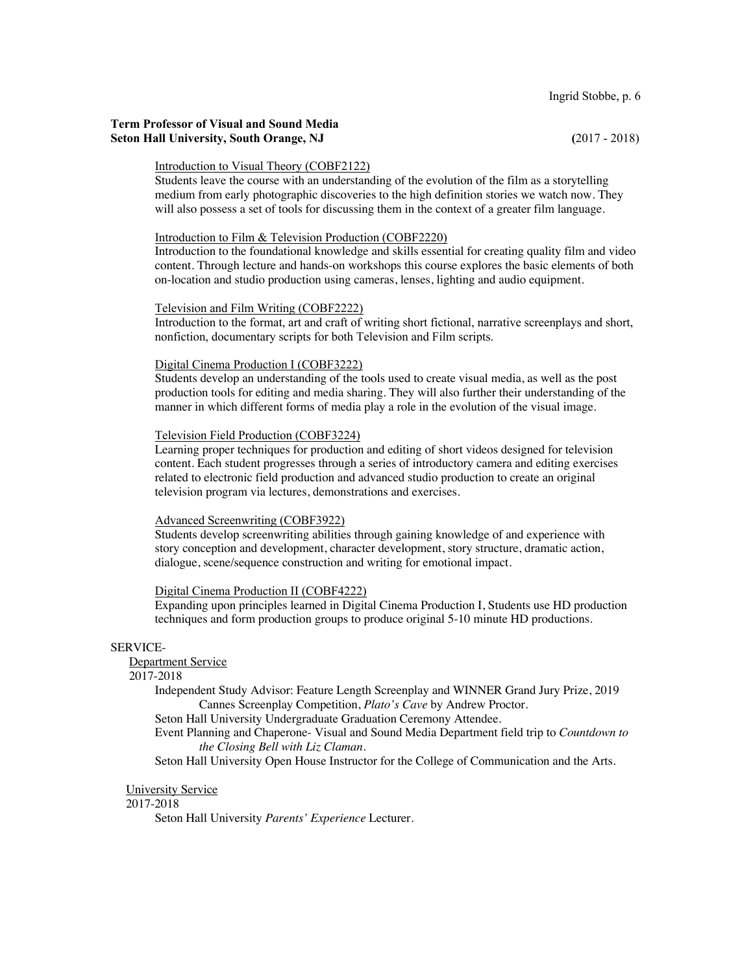# **Term Professor of Visual and Sound Media Seton Hall University, South Orange, NJ (**2017 - 2018)

#### Introduction to Visual Theory (COBF2122)

Students leave the course with an understanding of the evolution of the film as a storytelling medium from early photographic discoveries to the high definition stories we watch now. They will also possess a set of tools for discussing them in the context of a greater film language.

### Introduction to Film & Television Production (COBF2220)

Introduction to the foundational knowledge and skills essential for creating quality film and video content. Through lecture and hands-on workshops this course explores the basic elements of both on-location and studio production using cameras, lenses, lighting and audio equipment.

### Television and Film Writing (COBF2222)

Introduction to the format, art and craft of writing short fictional, narrative screenplays and short, nonfiction, documentary scripts for both Television and Film scripts.

### Digital Cinema Production I (COBF3222)

Students develop an understanding of the tools used to create visual media, as well as the post production tools for editing and media sharing. They will also further their understanding of the manner in which different forms of media play a role in the evolution of the visual image.

#### Television Field Production (COBF3224)

Learning proper techniques for production and editing of short videos designed for television content. Each student progresses through a series of introductory camera and editing exercises related to electronic field production and advanced studio production to create an original television program via lectures, demonstrations and exercises.

### Advanced Screenwriting (COBF3922)

Students develop screenwriting abilities through gaining knowledge of and experience with story conception and development, character development, story structure, dramatic action, dialogue, scene/sequence construction and writing for emotional impact.

# Digital Cinema Production II (COBF4222)

Expanding upon principles learned in Digital Cinema Production I, Students use HD production techniques and form production groups to produce original 5-10 minute HD productions.

#### SERVICE-

# Department Service

# 2017-2018

Independent Study Advisor: Feature Length Screenplay and WINNER Grand Jury Prize, 2019 Cannes Screenplay Competition, *Plato's Cave* by Andrew Proctor*.*

Seton Hall University Undergraduate Graduation Ceremony Attendee.

Event Planning and Chaperone- Visual and Sound Media Department field trip to *Countdown to the Closing Bell with Liz Claman.*

Seton Hall University Open House Instructor for the College of Communication and the Arts.

# University Service

#### 2017-2018

Seton Hall University *Parents' Experience* Lecturer.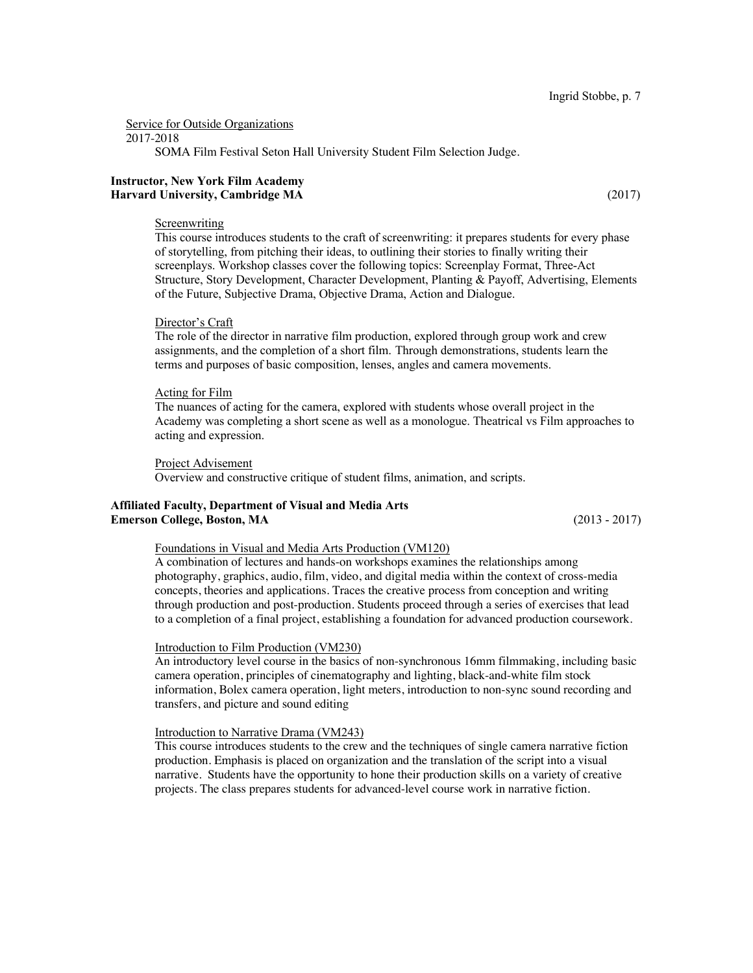Service for Outside Organizations

2017-2018

SOMA Film Festival Seton Hall University Student Film Selection Judge.

### **Instructor, New York Film Academy Harvard University, Cambridge MA** (2017)

#### Screenwriting

This course introduces students to the craft of screenwriting: it prepares students for every phase of storytelling, from pitching their ideas, to outlining their stories to finally writing their screenplays. Workshop classes cover the following topics: Screenplay Format, Three-Act Structure, Story Development, Character Development, Planting & Payoff, Advertising, Elements of the Future, Subjective Drama, Objective Drama, Action and Dialogue.

#### Director's Craft

The role of the director in narrative film production, explored through group work and crew assignments, and the completion of a short film. Through demonstrations, students learn the terms and purposes of basic composition, lenses, angles and camera movements.

#### Acting for Film

The nuances of acting for the camera, explored with students whose overall project in the Academy was completing a short scene as well as a monologue. Theatrical vs Film approaches to acting and expression.

Project Advisement

Overview and constructive critique of student films, animation, and scripts.

### **Affiliated Faculty, Department of Visual and Media Arts Emerson College, Boston, MA** (2013 - 2017)

#### Foundations in Visual and Media Arts Production (VM120)

A combination of lectures and hands-on workshops examines the relationships among photography, graphics, audio, film, video, and digital media within the context of cross-media concepts, theories and applications. Traces the creative process from conception and writing through production and post-production. Students proceed through a series of exercises that lead to a completion of a final project, establishing a foundation for advanced production coursework.

#### Introduction to Film Production (VM230)

An introductory level course in the basics of non-synchronous 16mm filmmaking, including basic camera operation, principles of cinematography and lighting, black-and-white film stock information, Bolex camera operation, light meters, introduction to non-sync sound recording and transfers, and picture and sound editing

### Introduction to Narrative Drama (VM243)

This course introduces students to the crew and the techniques of single camera narrative fiction production. Emphasis is placed on organization and the translation of the script into a visual narrative. Students have the opportunity to hone their production skills on a variety of creative projects. The class prepares students for advanced-level course work in narrative fiction.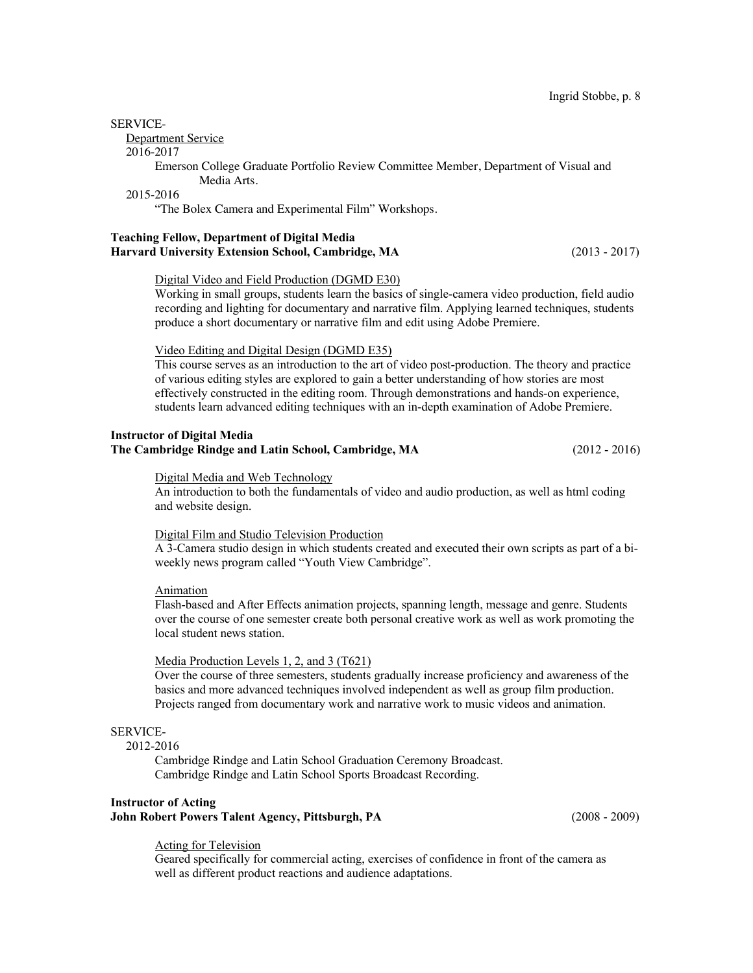#### SERVICE-

Department Service

#### 2016-2017

Emerson College Graduate Portfolio Review Committee Member, Department of Visual and Media Arts.

# 2015-2016

"The Bolex Camera and Experimental Film" Workshops.

### **Teaching Fellow, Department of Digital Media Harvard University Extension School, Cambridge, MA** (2013 - 2017)

# Digital Video and Field Production (DGMD E30)

Working in small groups, students learn the basics of single-camera video production, field audio recording and lighting for documentary and narrative film. Applying learned techniques, students produce a short documentary or narrative film and edit using Adobe Premiere.

# Video Editing and Digital Design (DGMD E35)

This course serves as an introduction to the art of video post-production. The theory and practice of various editing styles are explored to gain a better understanding of how stories are most effectively constructed in the editing room. Through demonstrations and hands-on experience, students learn advanced editing techniques with an in-depth examination of Adobe Premiere.

# **Instructor of Digital Media The Cambridge Rindge and Latin School, Cambridge, MA** (2012 - 2016)

#### Digital Media and Web Technology

An introduction to both the fundamentals of video and audio production, as well as html coding and website design.

### Digital Film and Studio Television Production

A 3-Camera studio design in which students created and executed their own scripts as part of a biweekly news program called "Youth View Cambridge".

## Animation

Flash-based and After Effects animation projects, spanning length, message and genre. Students over the course of one semester create both personal creative work as well as work promoting the local student news station.

### Media Production Levels 1, 2, and 3 (T621)

Over the course of three semesters, students gradually increase proficiency and awareness of the basics and more advanced techniques involved independent as well as group film production. Projects ranged from documentary work and narrative work to music videos and animation.

# SERVICE-

2012-2016

Cambridge Rindge and Latin School Graduation Ceremony Broadcast. Cambridge Rindge and Latin School Sports Broadcast Recording.

# **Instructor of Acting John Robert Powers Talent Agency, Pittsburgh, PA** (2008 - 2009)

#### Acting for Television

Geared specifically for commercial acting, exercises of confidence in front of the camera as well as different product reactions and audience adaptations.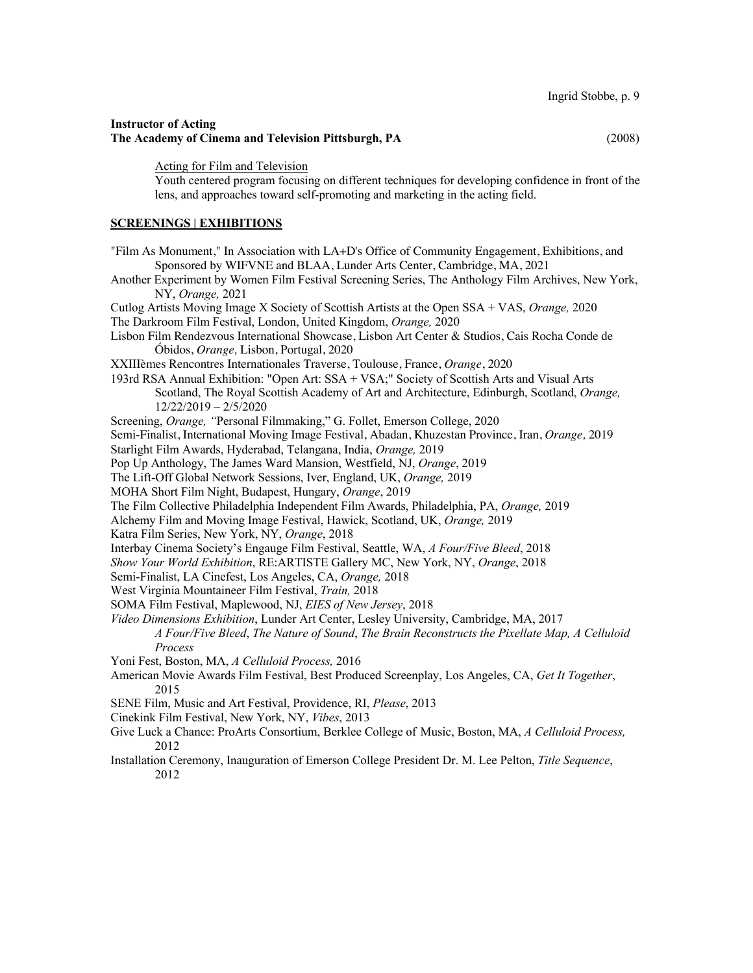# **Instructor of Acting The Academy of Cinema and Television Pittsburgh, PA** (2008)

Acting for Film and Television

Youth centered program focusing on different techniques for developing confidence in front of the lens, and approaches toward self-promoting and marketing in the acting field.

# **SCREENINGS | EXHIBITIONS**

| "Film As Monument," In Association with LA+D's Office of Community Engagement, Exhibitions, and                        |
|------------------------------------------------------------------------------------------------------------------------|
| Sponsored by WIFVNE and BLAA, Lunder Arts Center, Cambridge, MA, 2021                                                  |
| Another Experiment by Women Film Festival Screening Series, The Anthology Film Archives, New York,<br>NY, Orange, 2021 |
| Cutlog Artists Moving Image X Society of Scottish Artists at the Open SSA + VAS, Orange, 2020                          |
| The Darkroom Film Festival, London, United Kingdom, Orange, 2020                                                       |
| Lisbon Film Rendezvous International Showcase, Lisbon Art Center & Studios, Cais Rocha Conde de                        |
| Óbidos, Orange, Lisbon, Portugal, 2020                                                                                 |
| XXIIIèmes Rencontres Internationales Traverse, Toulouse, France, Orange, 2020                                          |
| 193rd RSA Annual Exhibition: "Open Art: SSA + VSA;" Society of Scottish Arts and Visual Arts                           |
| Scotland, The Royal Scottish Academy of Art and Architecture, Edinburgh, Scotland, Orange,                             |
| $12/22/2019 - 2/5/2020$                                                                                                |
| Screening, Orange, "Personal Filmmaking," G. Follet, Emerson College, 2020                                             |
| Semi-Finalist, International Moving Image Festival, Abadan, Khuzestan Province, Iran, Orange, 2019                     |
| Starlight Film Awards, Hyderabad, Telangana, India, Orange, 2019                                                       |
| Pop Up Anthology, The James Ward Mansion, Westfield, NJ, Orange, 2019                                                  |
| The Lift-Off Global Network Sessions, Iver, England, UK, Orange, 2019                                                  |
| MOHA Short Film Night, Budapest, Hungary, Orange, 2019                                                                 |
| The Film Collective Philadelphia Independent Film Awards, Philadelphia, PA, Orange, 2019                               |
| Alchemy Film and Moving Image Festival, Hawick, Scotland, UK, Orange, 2019                                             |
| Katra Film Series, New York, NY, Orange, 2018                                                                          |
| Interbay Cinema Society's Engauge Film Festival, Seattle, WA, A Four/Five Bleed, 2018                                  |
| Show Your World Exhibition, RE:ARTISTE Gallery MC, New York, NY, Orange, 2018                                          |
| Semi-Finalist, LA Cinefest, Los Angeles, CA, Orange, 2018                                                              |
| West Virginia Mountaineer Film Festival, Train, 2018                                                                   |
| SOMA Film Festival, Maplewood, NJ, EIES of New Jersey, 2018                                                            |
| Video Dimensions Exhibition, Lunder Art Center, Lesley University, Cambridge, MA, 2017                                 |
| A Four/Five Bleed, The Nature of Sound, The Brain Reconstructs the Pixellate Map, A Celluloid<br>Process               |
| Yoni Fest, Boston, MA, A Celluloid Process, 2016                                                                       |
| American Movie Awards Film Festival, Best Produced Screenplay, Los Angeles, CA, Get It Together,                       |
| 2015                                                                                                                   |
| SENE Film, Music and Art Festival, Providence, RI, Please, 2013                                                        |
| Cinekink Film Festival, New York, NY, Vibes, 2013                                                                      |
| Give Luck a Chance: ProArts Consortium, Berklee College of Music, Boston, MA, A Celluloid Process,<br>2012             |

Installation Ceremony, Inauguration of Emerson College President Dr. M. Lee Pelton, *Title Sequence*, 2012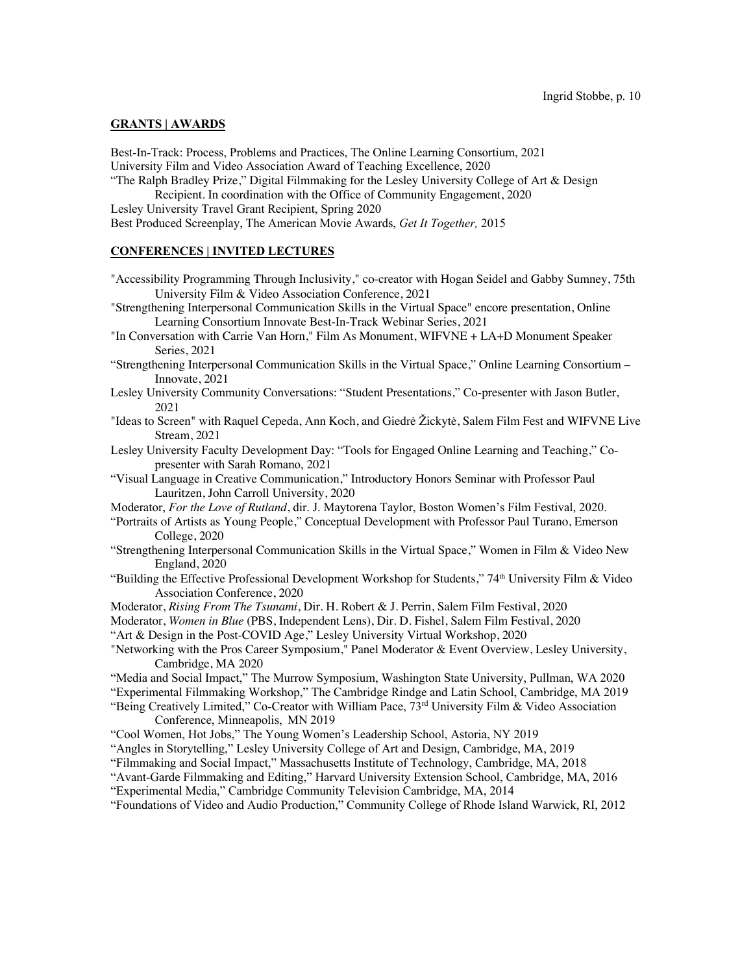### **GRANTS | AWARDS**

Best-In-Track: Process, Problems and Practices, The Online Learning Consortium, 2021 University Film and Video Association Award of Teaching Excellence, 2020 "The Ralph Bradley Prize," Digital Filmmaking for the Lesley University College of Art & Design

Recipient. In coordination with the Office of Community Engagement, 2020 Lesley University Travel Grant Recipient, Spring 2020

Best Produced Screenplay, The American Movie Awards, *Get It Together,* 2015

# **CONFERENCES | INVITED LECTURES**

- "Accessibility Programming Through Inclusivity," co-creator with Hogan Seidel and Gabby Sumney, 75th University Film & Video Association Conference, 2021
- "Strengthening Interpersonal Communication Skills in the Virtual Space" encore presentation, Online Learning Consortium Innovate Best-In-Track Webinar Series, 2021
- "In Conversation with Carrie Van Horn," Film As Monument, WIFVNE + LA+D Monument Speaker Series, 2021
- "Strengthening Interpersonal Communication Skills in the Virtual Space," Online Learning Consortium Innovate, 2021
- Lesley University Community Conversations: "Student Presentations," Co-presenter with Jason Butler, 2021
- "Ideas to Screen" with Raquel Cepeda, Ann Koch, and Giedrė Žickytė, Salem Film Fest and WIFVNE Live Stream, 2021
- Lesley University Faculty Development Day: "Tools for Engaged Online Learning and Teaching," Copresenter with Sarah Romano, 2021
- "Visual Language in Creative Communication," Introductory Honors Seminar with Professor Paul Lauritzen, John Carroll University, 2020

Moderator, *For the Love of Rutland*, dir. J. Maytorena Taylor, Boston Women's Film Festival, 2020.

- "Portraits of Artists as Young People," Conceptual Development with Professor Paul Turano, Emerson College, 2020
- "Strengthening Interpersonal Communication Skills in the Virtual Space," Women in Film & Video New England, 2020
- "Building the Effective Professional Development Workshop for Students,"  $74<sup>th</sup>$  University Film & Video Association Conference, 2020
- Moderator, *Rising From The Tsunami*, Dir. H. Robert & J. Perrin, Salem Film Festival, 2020
- Moderator, *Women in Blue* (PBS, Independent Lens), Dir. D. Fishel, Salem Film Festival, 2020

"Art & Design in the Post-COVID Age," Lesley University Virtual Workshop, 2020

"Networking with the Pros Career Symposium," Panel Moderator & Event Overview, Lesley University, Cambridge, MA 2020

"Media and Social Impact," The Murrow Symposium, Washington State University, Pullman, WA 2020 "Experimental Filmmaking Workshop," The Cambridge Rindge and Latin School, Cambridge, MA 2019

"Being Creatively Limited," Co-Creator with William Pace,  $73<sup>rd</sup>$  University Film & Video Association Conference, Minneapolis, MN 2019

"Cool Women, Hot Jobs," The Young Women's Leadership School, Astoria, NY 2019

"Angles in Storytelling," Lesley University College of Art and Design, Cambridge, MA, 2019

"Filmmaking and Social Impact," Massachusetts Institute of Technology, Cambridge, MA, 2018

"Avant-Garde Filmmaking and Editing," Harvard University Extension School, Cambridge, MA, 2016

"Experimental Media," Cambridge Community Television Cambridge, MA, 2014

"Foundations of Video and Audio Production," Community College of Rhode Island Warwick, RI, 2012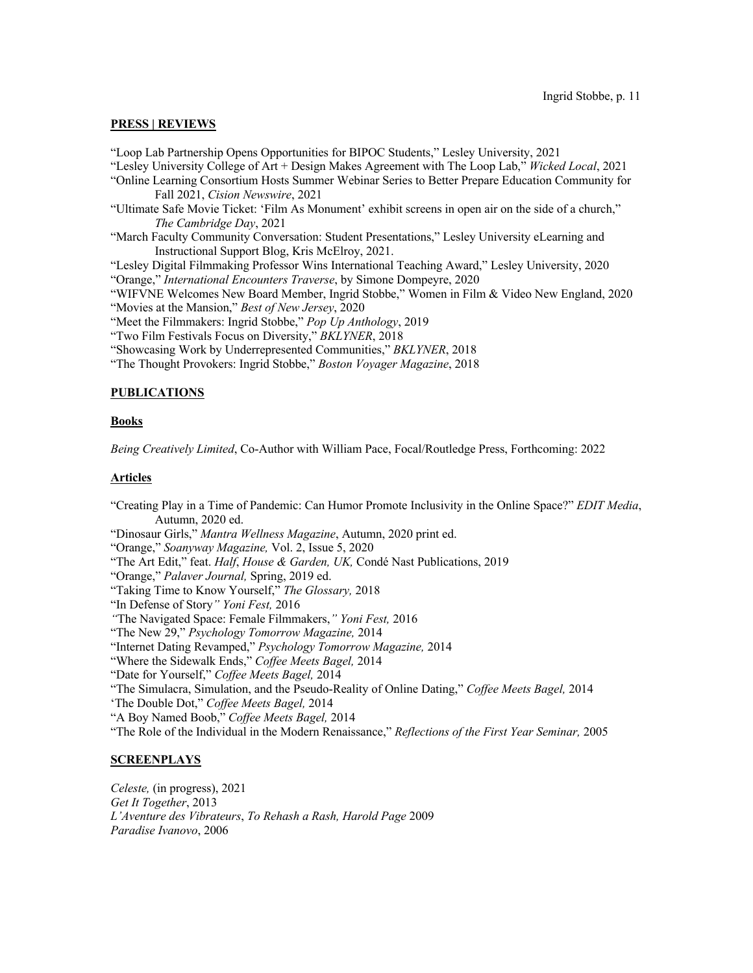### **PRESS | REVIEWS**

"Loop Lab Partnership Opens Opportunities for BIPOC Students," Lesley University, 2021 "Lesley University College of Art + Design Makes Agreement with The Loop Lab," *Wicked Local*, 2021 "Online Learning Consortium Hosts Summer Webinar Series to Better Prepare Education Community for Fall 2021, *Cision Newswire*, 2021 "Ultimate Safe Movie Ticket: 'Film As Monument' exhibit screens in open air on the side of a church," *The Cambridge Day*, 2021 "March Faculty Community Conversation: Student Presentations," Lesley University eLearning and Instructional Support Blog, Kris McElroy, 2021. "Lesley Digital Filmmaking Professor Wins International Teaching Award," Lesley University, 2020 "Orange," *International Encounters Traverse*, by Simone Dompeyre, 2020 "WIFVNE Welcomes New Board Member, Ingrid Stobbe," Women in Film & Video New England, 2020 "Movies at the Mansion," *Best of New Jersey*, 2020 "Meet the Filmmakers: Ingrid Stobbe," *Pop Up Anthology*, 2019

"Two Film Festivals Focus on Diversity," *BKLYNER*, 2018

"Showcasing Work by Underrepresented Communities," *BKLYNER*, 2018

"The Thought Provokers: Ingrid Stobbe," *Boston Voyager Magazine*, 2018

# **PUBLICATIONS**

#### **Books**

*Being Creatively Limited*, Co-Author with William Pace, Focal/Routledge Press, Forthcoming: 2022

#### **Articles**

"Creating Play in a Time of Pandemic: Can Humor Promote Inclusivity in the Online Space?" *EDIT Media*, Autumn, 2020 ed. "Dinosaur Girls," *Mantra Wellness Magazine*, Autumn, 2020 print ed. "Orange," *Soanyway Magazine,* Vol. 2, Issue 5, 2020 "The Art Edit," feat. *Half*, *House & Garden, UK,* Condé Nast Publications, 2019 "Orange," *Palaver Journal,* Spring, 2019 ed. "Taking Time to Know Yourself," *The Glossary,* 2018 "In Defense of Story*" Yoni Fest,* 2016 *"*The Navigated Space: Female Filmmakers,*" Yoni Fest,* 2016 "The New 29," *Psychology Tomorrow Magazine,* 2014 "Internet Dating Revamped," *Psychology Tomorrow Magazine,* 2014 "Where the Sidewalk Ends," *Coffee Meets Bagel,* 2014 "Date for Yourself," *Coffee Meets Bagel,* 2014 "The Simulacra, Simulation, and the Pseudo-Reality of Online Dating," *Coffee Meets Bagel,* 2014 'The Double Dot," *Coffee Meets Bagel,* 2014 "A Boy Named Boob," *Coffee Meets Bagel,* 2014 "The Role of the Individual in the Modern Renaissance," *Reflections of the First Year Seminar,* 2005

### **SCREENPLAYS**

*Celeste,* (in progress), 2021 *Get It Together*, 2013 *L'Aventure des Vibrateurs*, *To Rehash a Rash, Harold Page* 2009 *Paradise Ivanovo*, 2006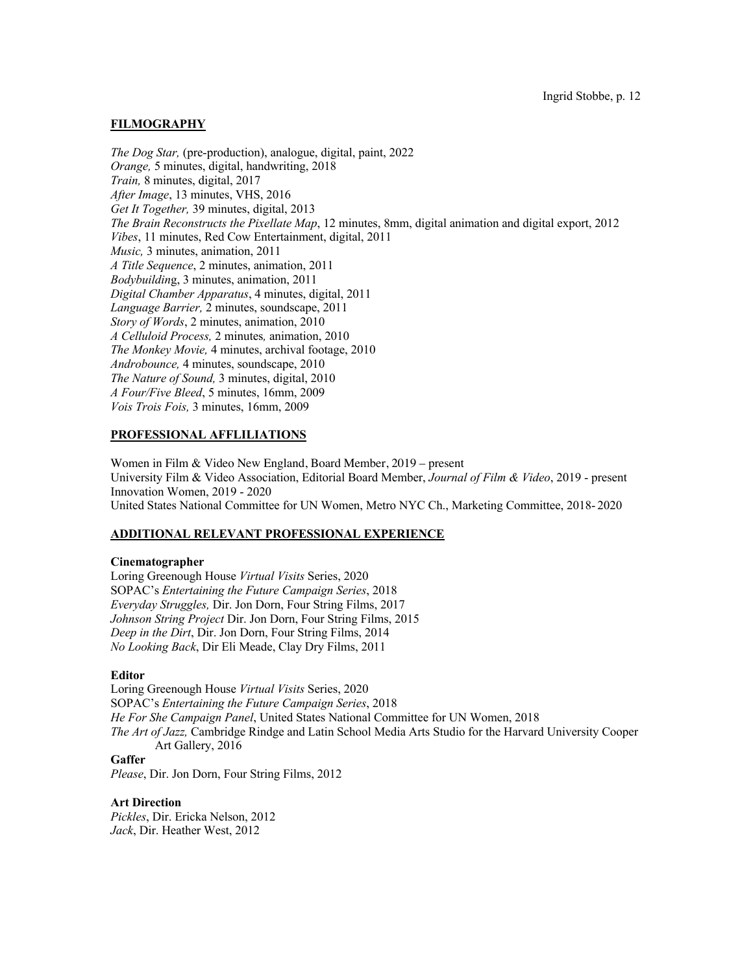# **FILMOGRAPHY**

*The Dog Star,* (pre-production), analogue, digital, paint, 2022 *Orange,* 5 minutes, digital, handwriting, 2018 *Train,* 8 minutes, digital, 2017 *After Image*, 13 minutes, VHS, 2016 *Get It Together,* 39 minutes, digital, 2013 *The Brain Reconstructs the Pixellate Map*, 12 minutes, 8mm, digital animation and digital export, 2012 *Vibes*, 11 minutes, Red Cow Entertainment, digital, 2011 *Music,* 3 minutes, animation, 2011 *A Title Sequence*, 2 minutes, animation, 2011 *Bodybuildin*g, 3 minutes, animation, 2011 *Digital Chamber Apparatus*, 4 minutes, digital, 2011 *Language Barrier,* 2 minutes, soundscape, 2011 *Story of Words*, 2 minutes, animation, 2010 *A Celluloid Process,* 2 minutes*,* animation, 2010 *The Monkey Movie,* 4 minutes, archival footage, 2010 *Androbounce,* 4 minutes, soundscape, 2010 *The Nature of Sound,* 3 minutes, digital, 2010 *A Four/Five Bleed*, 5 minutes, 16mm, 2009 *Vois Trois Fois,* 3 minutes, 16mm, 2009

# **PROFESSIONAL AFFLILIATIONS**

Women in Film & Video New England, Board Member, 2019 – present University Film & Video Association, Editorial Board Member, *Journal of Film & Video*, 2019 - present Innovation Women, 2019 - 2020 United States National Committee for UN Women, Metro NYC Ch., Marketing Committee, 2018- 2020

# **ADDITIONAL RELEVANT PROFESSIONAL EXPERIENCE**

#### **Cinematographer**

Loring Greenough House *Virtual Visits* Series, 2020 SOPAC's *Entertaining the Future Campaign Series*, 2018 *Everyday Struggles,* Dir. Jon Dorn, Four String Films, 2017 *Johnson String Project* Dir. Jon Dorn, Four String Films, 2015 *Deep in the Dirt*, Dir. Jon Dorn, Four String Films, 2014 *No Looking Back*, Dir Eli Meade, Clay Dry Films, 2011

### **Editor**

Loring Greenough House *Virtual Visits* Series, 2020 SOPAC's *Entertaining the Future Campaign Series*, 2018 *He For She Campaign Panel*, United States National Committee for UN Women, 2018 *The Art of Jazz,* Cambridge Rindge and Latin School Media Arts Studio for the Harvard University Cooper Art Gallery, 2016 **Gaffer**

*Please*, Dir. Jon Dorn, Four String Films, 2012

# **Art Direction**

*Pickles*, Dir. Ericka Nelson, 2012 *Jack*, Dir. Heather West, 2012